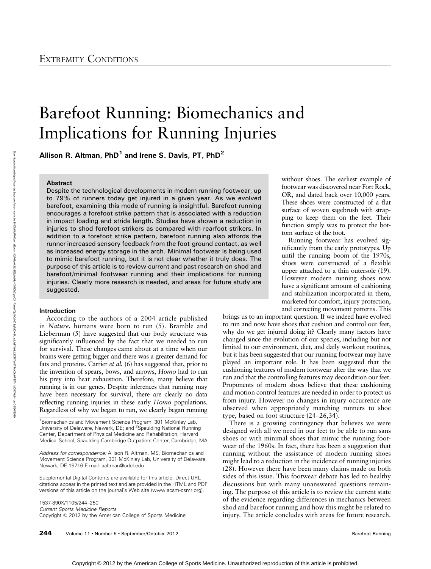# Barefoot Running: Biomechanics and Implications for Running Injuries

Allison R. Altman,  $PhD<sup>1</sup>$  and Irene S. Davis, PT,  $PhD<sup>2</sup>$ 

# Abstract

Despite the technological developments in modern running footwear, up to 79% of runners today get injured in a given year. As we evolved barefoot, examining this mode of running is insightful. Barefoot running encourages a forefoot strike pattern that is associated with a reduction in impact loading and stride length. Studies have shown a reduction in injuries to shod forefoot strikers as compared with rearfoot strikers. In addition to a forefoot strike pattern, barefoot running also affords the runner increased sensory feedback from the foot-ground contact, as well as increased energy storage in the arch. Minimal footwear is being used to mimic barefoot running, but it is not clear whether it truly does. The purpose of this article is to review current and past research on shod and barefoot/minimal footwear running and their implications for running injuries. Clearly more research is needed, and areas for future study are suggested.

# Introduction

According to the authors of a 2004 article published in Nature, humans were born to run (5). Bramble and Lieberman (5) have suggested that our body structure was significantly influenced by the fact that we needed to run for survival. These changes came about at a time when our brains were getting bigger and there was a greater demand for fats and proteins. Carrier et al. (6) has suggested that, prior to the invention of spears, bows, and arrows, Homo had to run his prey into heat exhaustion. Therefore, many believe that running is in our genes. Despite inferences that running may have been necessary for survival, there are clearly no data reflecting running injuries in these early Homo populations. Regardless of why we began to run, we clearly began running

<sup>1</sup> Biomechanics and Movement Science Program, 301 McKinley Lab, University of Delaware, Newark, DE; and <sup>2</sup>Spaulding National Running Center, Department of Physical Medicine and Rehabilitation, Harvard Medical School, Spaulding-Cambridge Outpatient Center, Cambridge, MA

Address for correspondence: Allison R. Altman, MS, Biomechanics and Movement Science Program, 301 McKinley Lab, University of Delaware, Newark, DE 19716 E-mail: aaltman@udel.edu

Supplemental Digital Contents are available for this article. Direct URL citations appear in the printed text and are provided in the HTML and PDF versions of this article on the journal's Web site (www.acsm-csmr.org).

1537-890X/1105/244-250 Current Sports Medicine Reports Copyright  $@$  2012 by the American College of Sports Medicine without shoes. The earliest example of footwear was discovered near Fort Rock, OR, and dated back over 10,000 years. These shoes were constructed of a flat surface of woven sagebrush with strapping to keep them on the feet. Their function simply was to protect the bottom surface of the foot.

Running footwear has evolved significantly from the early prototypes. Up until the running boom of the 1970s, shoes were constructed of a flexible upper attached to a thin outersole (19). However modern running shoes now have a significant amount of cushioning and stabilization incorporated in them, marketed for comfort, injury protection, and correcting movement patterns. This

brings us to an important question. If we indeed have evolved to run and now have shoes that cushion and control our feet, why do we get injured doing it? Clearly many factors have changed since the evolution of our species, including but not limited to our environment, diet, and daily workout routines, but it has been suggested that our running footwear may have played an important role. It has been suggested that the cushioning features of modern footwear alter the way that we run and that the controlling features may decondition our feet. Proponents of modern shoes believe that these cushioning and motion control features are needed in order to protect us from injury. However no changes in injury occurrence are observed when appropriately matching runners to shoe type, based on foot structure  $(24-26,34)$ .

There is a growing contingency that believes we were designed with all we need in our feet to be able to run sans shoes or with minimal shoes that mimic the running footwear of the 1960s. In fact, there has been a suggestion that running without the assistance of modern running shoes might lead to a reduction in the incidence of running injuries (28). However there have been many claims made on both sides of this issue. This footwear debate has led to healthy discussions but with many unanswered questions remaining. The purpose of this article is to review the current state of the evidence regarding differences in mechanics between shod and barefoot running and how this might be related to injury. The article concludes with areas for future research.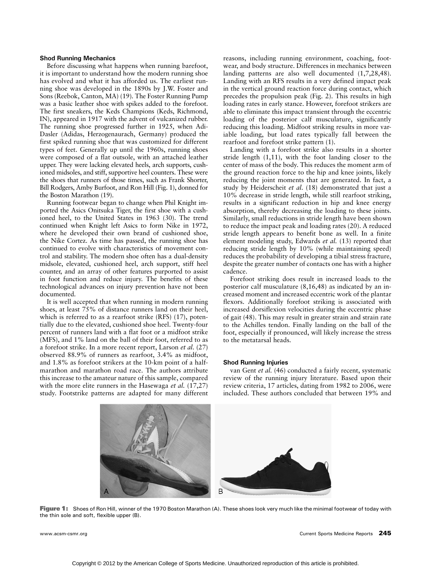#### Shod Running Mechanics

Before discussing what happens when running barefoot, it is important to understand how the modern running shoe has evolved and what it has afforded us. The earliest running shoe was developed in the 1890s by J.W. Foster and Sons (Reebok, Canton, MA) (19). The Foster Running Pump was a basic leather shoe with spikes added to the forefoot. The first sneakers, the Keds Champions (Keds, Richmond, IN), appeared in 1917 with the advent of vulcanized rubber. The running shoe progressed further in 1925, when Adi-Dasler (Adidas, Herzogenaurach, Germany) produced the first spiked running shoe that was customized for different types of feet. Generally up until the 1960s, running shoes were composed of a flat outsole, with an attached leather upper. They were lacking elevated heels, arch supports, cushioned midsoles, and stiff, supportive heel counters. These were the shoes that runners of those times, such as Frank Shorter, Bill Rodgers, Amby Burfoot, and Ron Hill (Fig. 1), donned for the Boston Marathon (19).

Running footwear began to change when Phil Knight imported the Asics Onitsuka Tiger, the first shoe with a cushioned heel, to the United States in 1963 (30). The trend continued when Knight left Asics to form Nike in 1972, where he developed their own brand of cushioned shoe, the Nike Cortez. As time has passed, the running shoe has continued to evolve with characteristics of movement control and stability. The modern shoe often has a dual-density midsole, elevated, cushioned heel, arch support, stiff heel counter, and an array of other features purported to assist in foot function and reduce injury. The benefits of these technological advances on injury prevention have not been documented.

It is well accepted that when running in modern running shoes, at least 75% of distance runners land on their heel, which is referred to as a rearfoot strike (RFS) (17), potentially due to the elevated, cushioned shoe heel. Twenty-four percent of runners land with a flat foot or a midfoot strike (MFS), and 1% land on the ball of their foot, referred to as a forefoot strike. In a more recent report, Larson et al. (27) observed 88.9% of runners as rearfoot, 3.4% as midfoot, and 1.8% as forefoot strikers at the 10-km point of a halfmarathon and marathon road race. The authors attribute this increase to the amateur nature of this sample, compared with the more elite runners in the Hasewaga et al. (17,27) study. Footstrike patterns are adapted for many different reasons, including running environment, coaching, footwear, and body structure. Differences in mechanics between landing patterns are also well documented  $(1,7,28,48)$ . Landing with an RFS results in a very defined impact peak in the vertical ground reaction force during contact, which precedes the propulsion peak (Fig. 2). This results in high loading rates in early stance. However, forefoot strikers are able to eliminate this impact transient through the eccentric loading of the posterior calf musculature, significantly reducing this loading. Midfoot striking results in more variable loading, but load rates typically fall between the rearfoot and forefoot strike pattern (1).

Landing with a forefoot strike also results in a shorter stride length (1,11), with the foot landing closer to the center of mass of the body. This reduces the moment arm of the ground reaction force to the hip and knee joints, likely reducing the joint moments that are generated. In fact, a study by Heiderscheit et al. (18) demonstrated that just a 10% decrease in stride length, while still rearfoot striking, results in a significant reduction in hip and knee energy absorption, thereby decreasing the loading to these joints. Similarly, small reductions in stride length have been shown to reduce the impact peak and loading rates (20). A reduced stride length appears to benefit bone as well. In a finite element modeling study, Edwards et al. (13) reported that reducing stride length by 10% (while maintaining speed) reduces the probability of developing a tibial stress fracture, despite the greater number of contacts one has with a higher cadence.

Forefoot striking does result in increased loads to the posterior calf musculature (8,16,48) as indicated by an increased moment and increased eccentric work of the plantar flexors. Additionally forefoot striking is associated with increased dorsiflexion velocities during the eccentric phase of gait (48). This may result in greater strain and strain rate to the Achilles tendon. Finally landing on the ball of the foot, especially if pronounced, will likely increase the stress to the metatarsal heads.

#### Shod Running Injuries

van Gent et al. (46) conducted a fairly recent, systematic review of the running injury literature. Based upon their review criteria, 17 articles, dating from 1982 to 2006, were included. These authors concluded that between 19% and



Figure 1: Shoes of Ron Hill, winner of the 1970 Boston Marathon (A). These shoes look very much like the minimal footwear of today with the thin sole and soft, flexible upper (B).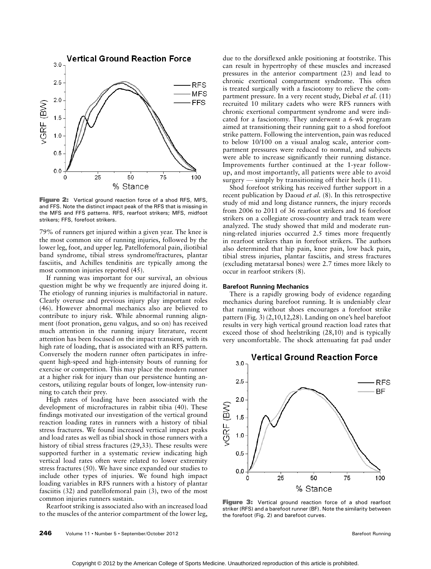

Figure 2: Vertical ground reaction force of a shod RFS, MFS, and FFS. Note the distinct impact peak of the RFS that is missing in the MFS and FFS patterns. RFS, rearfoot strikers; MFS, midfoot strikers; FFS, forefoot strikers.

79% of runners get injured within a given year. The knee is the most common site of running injuries, followed by the lower leg, foot, and upper leg. Patellofemoral pain, iliotibial band syndrome, tibial stress syndrome/fractures, plantar fasciitis, and Achilles tendinitis are typically among the most common injuries reported (45).

If running was important for our survival, an obvious question might be why we frequently are injured doing it. The etiology of running injuries is multifactorial in nature. Clearly overuse and previous injury play important roles (46). However abnormal mechanics also are believed to contribute to injury risk. While abnormal running alignment (foot pronation, genu valgus, and so on) has received much attention in the running injury literature, recent attention has been focused on the impact transient, with its high rate of loading, that is associated with an RFS pattern. Conversely the modern runner often participates in infrequent high-speed and high-intensity bouts of running for exercise or competition. This may place the modern runner at a higher risk for injury than our persistence hunting ancestors, utilizing regular bouts of longer, low-intensity running to catch their prey.

High rates of loading have been associated with the development of microfractures in rabbit tibia (40). These findings motivated our investigation of the vertical ground reaction loading rates in runners with a history of tibial stress fractures. We found increased vertical impact peaks and load rates as well as tibial shock in those runners with a history of tibial stress fractures (29,33). These results were supported further in a systematic review indicating high vertical load rates often were related to lower extremity stress fractures (50). We have since expanded our studies to include other types of injuries. We found high impact loading variables in RFS runners with a history of plantar fasciitis (32) and patellofemoral pain (3), two of the most common injuries runners sustain.

Rearfoot striking is associated also with an increased load to the muscles of the anterior compartment of the lower leg, due to the dorsiflexed ankle positioning at footstrike. This can result in hypertrophy of these muscles and increased pressures in the anterior compartment (23) and lead to chronic exertional compartment syndrome. This often is treated surgically with a fasciotomy to relieve the compartment pressure. In a very recent study, Diebal et al. (11) recruited 10 military cadets who were RFS runners with chronic exertional compartment syndrome and were indicated for a fasciotomy. They underwent a 6-wk program aimed at transitioning their running gait to a shod forefoot strike pattern. Following the intervention, pain was reduced to below 10/100 on a visual analog scale, anterior compartment pressures were reduced to normal, and subjects were able to increase significantly their running distance. Improvements further continued at the 1-year followup, and most importantly, all patients were able to avoid surgery  $-$  simply by transitioning off their heels (11).

Shod forefoot striking has received further support in a recent publication by Daoud et al. (8). In this retrospective study of mid and long distance runners, the injury records from 2006 to 2011 of 36 rearfoot strikers and 16 forefoot strikers on a collegiate cross-country and track team were analyzed. The study showed that mild and moderate running-related injuries occurred 2.5 times more frequently in rearfoot strikers than in forefoot strikers. The authors also determined that hip pain, knee pain, low back pain, tibial stress injuries, plantar fasciitis, and stress fractures (excluding metatarsal bones) were 2.7 times more likely to occur in rearfoot strikers (8).

#### Barefoot Running Mechanics

There is a rapidly growing body of evidence regarding mechanics during barefoot running. It is undeniably clear that running without shoes encourages a forefoot strike pattern (Fig. 3) (2,10,12,28). Landing on one's heel barefoot results in very high vertical ground reaction load rates that exceed those of shod heelstriking (28,10) and is typically very uncomfortable. The shock attenuating fat pad under



Figure 3: Vertical ground reaction force of a shod rearfoot striker (RFS) and a barefoot runner (BF). Note the similarity between the forefoot (Fig. 2) and barefoot curves.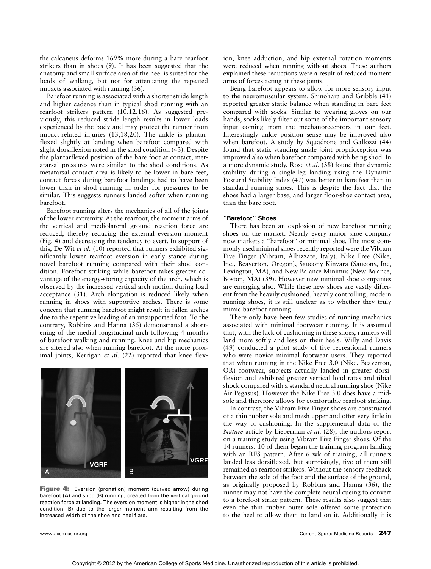the calcaneus deforms 169% more during a bare rearfoot strikers than in shoes (9). It has been suggested that the anatomy and small surface area of the heel is suited for the loads of walking, but not for attenuating the repeated impacts associated with running (36).

Barefoot running is associated with a shorter stride length and higher cadence than in typical shod running with an rearfoot strikers pattern (10,12,16). As suggested previously, this reduced stride length results in lower loads experienced by the body and may protect the runner from impact-related injuries (13,18,20). The ankle is plantarflexed slightly at landing when barefoot compared with slight dorsiflexion noted in the shod condition (43). Despite the plantarflexed position of the bare foot at contact, metatarsal pressures were similar to the shod conditions. As metatarsal contact area is likely to be lower in bare feet, contact forces during barefoot landings had to have been lower than in shod running in order for pressures to be similar. This suggests runners landed softer when running barefoot.

Barefoot running alters the mechanics of all of the joints of the lower extremity. At the rearfoot, the moment arms of the vertical and mediolateral ground reaction force are reduced, thereby reducing the external eversion moment (Fig. 4) and decreasing the tendency to evert. In support of this, De Wit et al. (10) reported that runners exhibited significantly lower rearfoot eversion in early stance during novel barefoot running compared with their shod condition. Forefoot striking while barefoot takes greater advantage of the energy-storing capacity of the arch, which is observed by the increased vertical arch motion during load acceptance (31). Arch elongation is reduced likely when running in shoes with supportive arches. There is some concern that running barefoot might result in fallen arches due to the repetitive loading of an unsupported foot. To the contrary, Robbins and Hanna (36) demonstrated a shortening of the medial longitudinal arch following 4 months of barefoot walking and running. Knee and hip mechanics are altered also when running barefoot. At the more proximal joints, Kerrigan et al. (22) reported that knee flex-



Figure 4: Eversion (pronation) moment (curved arrow) during barefoot (A) and shod (B) running, created from the vertical ground reaction force at landing. The eversion moment is higher in the shod condition (B) due to the larger moment arm resulting from the increased width of the shoe and heel flare.

ion, knee adduction, and hip external rotation moments were reduced when running without shoes. These authors explained these reductions were a result of reduced moment arms of forces acting at these joints.

Being barefoot appears to allow for more sensory input to the neuromuscular system. Shinohara and Gribble (41) reported greater static balance when standing in bare feet compared with socks. Similar to wearing gloves on our hands, socks likely filter out some of the important sensory input coming from the mechanoreceptors in our feet. Interestingly ankle position sense may be improved also when barefoot. A study by Squadrone and Gallozzi (44) found that static standing ankle joint proprioception was improved also when barefoot compared with being shod. In a more dynamic study, Rose et al. (38) found that dynamic stability during a single-leg landing using the Dynamic Postural Stability Index (47) was better in bare feet than in standard running shoes. This is despite the fact that the shoes had a larger base, and larger floor-shoe contact area, than the bare foot.

# ''Barefoot'' Shoes

There has been an explosion of new barefoot running shoes on the market. Nearly every major shoe company now markets a ''barefoot'' or minimal shoe. The most commonly used minimal shoes recently reported were the Vibram Five Finger (Vibram, Albizzate, Italy), Nike Free (Nike, Inc., Beaverton, Oregon), Saucony Kinvara (Saucony, Inc, Lexington, MA), and New Balance Minimus (New Balance, Boston, MA) (39). However new minimal shoe companies are emerging also. While these new shoes are vastly different from the heavily cushioned, heavily controlling, modern running shoes, it is still unclear as to whether they truly mimic barefoot running.

There only have been few studies of running mechanics associated with minimal footwear running. It is assumed that, with the lack of cushioning in these shoes, runners will land more softly and less on their heels. Willy and Davis (49) conducted a pilot study of five recreational runners who were novice minimal footwear users. They reported that when running in the Nike Free 3.0 (Nike, Beaverton, OR) footwear, subjects actually landed in greater dorsiflexion and exhibited greater vertical load rates and tibial shock compared with a standard neutral running shoe (Nike Air Pegasus). However the Nike Free 3.0 does have a midsole and therefore allows for comfortable rearfoot striking.

In contrast, the Vibram Five Finger shoes are constructed of a thin rubber sole and mesh upper and offer very little in the way of cushioning. In the supplemental data of the Nature article by Lieberman et al. (28), the authors report on a training study using Vibram Five Finger shoes. Of the 14 runners, 10 of them began the training program landing with an RFS pattern. After 6 wk of training, all runners landed less dorsiflexed, but surprisingly, five of them still remained as rearfoot strikers. Without the sensory feedback between the sole of the foot and the surface of the ground, as originally proposed by Robbins and Hanna (36), the runner may not have the complete neural cueing to convert to a forefoot strike pattern. These results also suggest that even the thin rubber outer sole offered some protection to the heel to allow them to land on it. Additionally it is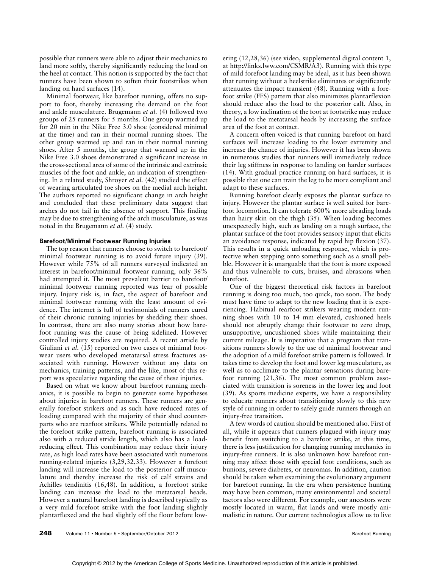possible that runners were able to adjust their mechanics to land more softly, thereby significantly reducing the load on the heel at contact. This notion is supported by the fact that runners have been shown to soften their footstrikes when landing on hard surfaces (14).

Minimal footwear, like barefoot running, offers no support to foot, thereby increasing the demand on the foot and ankle musculature. Brugemann et al. (4) followed two groups of 25 runners for 5 months. One group warmed up for 20 min in the Nike Free 3.0 shoe (considered minimal at the time) and ran in their normal running shoes. The other group warmed up and ran in their normal running shoes. After 5 months, the group that warmed up in the Nike Free 3.0 shoes demonstrated a significant increase in the cross-sectional area of some of the intrinsic and extrinsic muscles of the foot and ankle, an indication of strengthening. In a related study, Shroyer et al. (42) studied the effect of wearing articulated toe shoes on the medial arch height. The authors reported no significant change in arch height and concluded that these preliminary data suggest that arches do not fail in the absence of support. This finding may be due to strengthening of the arch musculature, as was noted in the Brugemann et al. (4) study.

#### Barefoot/Minimal Footwear Running Injuries

The top reason that runners choose to switch to barefoot/ minimal footwear running is to avoid future injury (39). However while 75% of all runners surveyed indicated an interest in barefoot/minimal footwear running, only 36% had attempted it. The most prevalent barrier to barefoot/ minimal footwear running reported was fear of possible injury. Injury risk is, in fact, the aspect of barefoot and minimal footwear running with the least amount of evidence. The internet is full of testimonials of runners cured of their chronic running injuries by shedding their shoes. In contrast, there are also many stories about how barefoot running was the cause of being sidelined. However controlled injury studies are required. A recent article by Giuliani et al. (15) reported on two cases of minimal footwear users who developed metatarsal stress fractures associated with running. However without any data on mechanics, training patterns, and the like, most of this report was speculative regarding the cause of these injuries.

Based on what we know about barefoot running mechanics, it is possible to begin to generate some hypotheses about injuries in barefoot runners. These runners are generally forefoot strikers and as such have reduced rates of loading compared with the majority of their shod counterparts who are rearfoot strikers. While potentially related to the forefoot strike pattern, barefoot running is associated also with a reduced stride length, which also has a loadreducing effect. This combination may reduce their injury rate, as high load rates have been associated with numerous running-related injuries (3,29,32,33). However a forefoot landing will increase the load to the posterior calf musculature and thereby increase the risk of calf strains and Achilles tendinitis (16,48). In addition, a forefoot strike landing can increase the load to the metatarsal heads. However a natural barefoot landing is described typically as a very mild forefoot strike with the foot landing slightly plantarflexed and the heel slightly off the floor before lowering (12,28,36) (see video, supplemental digital content 1, at http://links.lww.com/CSMR/A3). Running with this type of mild forefoot landing may be ideal, as it has been shown [that](http://links.lww.com/CSMR/A3) [running](http://links.lww.com/CSMR/A3) [without](http://links.lww.com/CSMR/A3) [a](http://links.lww.com/CSMR/A3) [heelstr](http://links.lww.com/CSMR/A3)ike eliminates or significantly attenuates the impact transient (48). Running with a forefoot strike (FFS) pattern that also minimizes plantarflexion should reduce also the load to the posterior calf. Also, in theory, a low inclination of the foot at footstrike may reduce the load to the metatarsal heads by increasing the surface area of the foot at contact.

A concern often voiced is that running barefoot on hard surfaces will increase loading to the lower extremity and increase the chance of injuries. However it has been shown in numerous studies that runners will immediately reduce their leg stiffness in response to landing on harder surfaces (14). With gradual practice running on hard surfaces, it is possible that one can train the leg to be more compliant and adapt to these surfaces.

Running barefoot clearly exposes the plantar surface to injury. However the plantar surface is well suited for barefoot locomotion. It can tolerate 600% more abrading loads than hairy skin on the thigh (35). When loading becomes unexpectedly high, such as landing on a rough surface, the plantar surface of the foot provides sensory input that elicits an avoidance response, indicated by rapid hip flexion (37). This results in a quick unloading response, which is protective when stepping onto something such as a small pebble. However it is unarguable that the foot is more exposed and thus vulnerable to cuts, bruises, and abrasions when barefoot.

One of the biggest theoretical risk factors in barefoot running is doing too much, too quick, too soon. The body must have time to adapt to the new loading that it is experiencing. Habitual rearfoot strikers wearing modern running shoes with 10 to 14 mm elevated, cushioned heels should not abruptly change their footwear to zero drop, unsupportive, uncushioned shoes while maintaining their current mileage. It is imperative that a program that transitions runners slowly to the use of minimal footwear and the adoption of a mild forefoot strike pattern is followed. It takes time to develop the foot and lower leg musculature, as well as to acclimate to the plantar sensations during barefoot running (21,36). The most common problem associated with transition is soreness in the lower leg and foot (39). As sports medicine experts, we have a responsibility to educate runners about transitioning slowly to this new style of running in order to safely guide runners through an injury-free transition.

A few words of caution should be mentioned also. First of all, while it appears that runners plagued with injury may benefit from switching to a barefoot strike, at this time, there is less justification for changing running mechanics in injury-free runners. It is also unknown how barefoot running may affect those with special foot conditions, such as bunions, severe diabetes, or neuromas. In addition, caution should be taken when examining the evolutionary argument for barefoot running. In the era when persistence hunting may have been common, many environmental and societal factors also were different. For example, our ancestors were mostly located in warm, flat lands and were mostly animalistic in nature. Our current technologies allow us to live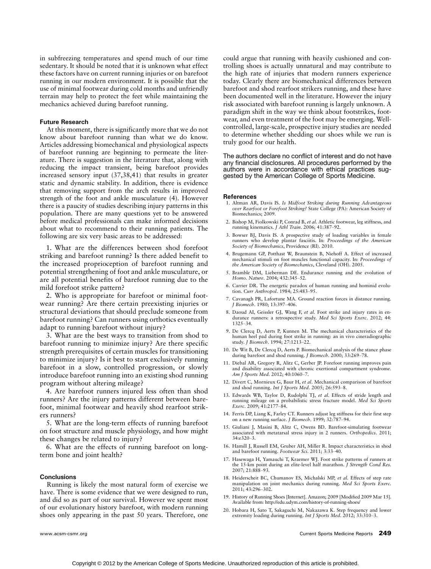in subfreezing temperatures and spend much of our time sedentary. It should be noted that it is unknown what effect these factors have on current running injuries or on barefoot running in our modern environment. It is possible that the use of minimal footwear during cold months and unfriendly terrain may help to protect the feet while maintaining the mechanics achieved during barefoot running.

#### Future Research

At this moment, there is significantly more that we do not know about barefoot running than what we do know. Articles addressing biomechanical and physiological aspects of barefoot running are beginning to permeate the literature. There is suggestion in the literature that, along with reducing the impact transient, being barefoot provides increased sensory input (37,38,41) that results in greater static and dynamic stability. In addition, there is evidence that removing support from the arch results in improved strength of the foot and ankle musculature (4). However there is a paucity of studies describing injury patterns in this population. There are many questions yet to be answered before medical professionals can make informed decisions about what to recommend to their running patients. The following are six very basic areas to be addressed:

1. What are the differences between shod forefoot striking and barefoot running? Is there added benefit to the increased proprioception of barefoot running and potential strengthening of foot and ankle musculature, or are all potential benefits of barefoot running due to the mild forefoot strike pattern?

2. Who is appropriate for barefoot or minimal footwear running? Are there certain preexisting injuries or structural deviations that should preclude someone from barefoot running? Can runners using orthotics eventually adapt to running barefoot without injury?

3. What are the best ways to transition from shod to barefoot running to minimize injury? Are there specific strength prerequisites of certain muscles for transitioning to minimize injury? Is it best to start exclusively running barefoot in a slow, controlled progression, or slowly introduce barefoot running into an existing shod running program without altering mileage?

4. Are barefoot runners injured less often than shod runners? Are the injury patterns different between barefoot, minimal footwear and heavily shod rearfoot strikers runners?

5. What are the long-term effects of running barefoot on foot structure and muscle physiology, and how might these changes be related to injury?

6. What are the effects of running barefoot on longterm bone and joint health?

## **Conclusions**

Running is likely the most natural form of exercise we have. There is some evidence that we were designed to run, and did so as part of our survival. However we spent most of our evolutionary history barefoot, with modern running shoes only appearing in the past 50 years. Therefore, one

could argue that running with heavily cushioned and controlling shoes is actually unnatural and may contribute to the high rate of injuries that modern runners experience today. Clearly there are biomechanical differences between barefoot and shod rearfoot strikers running, and these have been documented well in the literature. However the injury risk associated with barefoot running is largely unknown. A paradigm shift in the way we think about footstrikes, footwear, and even treatment of the foot may be emerging. Wellcontrolled, large-scale, prospective injury studies are needed to determine whether shedding our shoes while we run is truly good for our health.

The authors declare no conflict of interest and do not have any financial disclosures. All procedures performed by the authors were in accordance with ethical practices suggested by the American College of Sports Medicine.

#### References

- 1. Altman AR, Davis IS. Is Midfoot Striking during Running Advantageous over Rearfoot or Forefoot Striking? State College (PA): American Society of Biomechanics; 2009.
- 2. Bishop M, Fiolkowski P, Conrad B, et al. Athletic footwear, leg stiffness, and running kinematics. J Athl Train. 2006; 41:387-92.
- 3. Bowser BJ, Davis IS. A prospective study of loading variables in female runners who develop plantar fasciitis. In: Proceedings of the American Society of Biomechanics, Providence (RI). 2010.
- 4. Brugemann GP, Potthast W, Braunstein B, Niehoff A. Effect of increased mechanical stimuli on foot muscles functional capacity. In: Proceedings of the American Society of Biomechanics, Cleveland (OH). 2005.
- 5. Bramble DM, Lieberman DE. Endurance running and the evolution of Homo. Nature. 2004; 432:345-52.
- 6. Carrier DR. The energetic paradox of human running and hominid evolution. Curr Anthropol. 1984; 25:483-95.
- 7. Cavanagh PR, Lafortune MA. Ground reaction forces in distance running. J Biomech. 1980; 13:397-406.
- 8. Daoud AI, Geissler GJ, Wang F, et al. Foot strike and injury rates in endurance runners: a retrospective study. Med Sci Sports Exerc. 2012; 44:  $1325 - 34$ .
- 9. De Clercq D, Aerts P, Kunnen M. The mechanical characteristics of the human heel pad during foot strike in running: an in vivo cineradiographic study. J Biomech. 1994; 27:1213-22.
- 10. De Wit B, De Clercq D, Aerts P. Biomechanical analysis of the stance phase during barefoot and shod running. J Biomech. 2000; 33:269-78.
- 11. Diebal AR, Gregory R, Alitz C, Gerber JP. Forefoot running improves pain and disability associated with chronic exertional compartment syndrome.<br>Am J Sports Med. 2012; 40:1060–7.
- 12. Divert C. Mornieux G. Baur H, et al. Mechanical comparison of barefoot and shod running. Int J Sports Med. 2005; 26:593-8.
- 13. Edwards WB, Taylor D, Rudolphi TJ, et al. Effects of stride length and running mileage on a probabilistic stress fracture model. Med Sci Sports  $Exercise. 2009: 41:2177 - 84.$
- 14. Ferris DP, Liang K, Farley CT. Runners adjust leg stiffness for their first step on a new running surface. *J Biomech*. 1999; 32:787-94.
- 15. Giuliani J, Masini B, Alitz C, Owens BD. Barefoot-simulating footwear associated with metatarsal stress injury in 2 runners. Orthopedics. 2011;  $34: e320 - 3.$
- 16. Hamill J, Russell EM, Gruber AH, Miller R. Impact characteristics in shod and barefoot running. Footwear Sci. 2011; 3:33-40.
- 17. Hasewaga H, Yamauchi T, Kraemer WJ. Foot strike patterns of runners at the 15-km point during an elite-level half marathon. J Strength Cond Res. 2007; 21:888-93.
- 18. Heiderscheit BC, Chumanov ES, Michalski MP, et al. Effects of step rate manipulation on joint mechanics during running. Med Sci Sports Exerc. 2011: 43:296-302.
- 19. History of Running Shoes [Internet]. Amazon; 2009 [Modified 2009 Mar 15]. Available from: http://edu.udym.com/history-of-running-shoes/
- 20. Hobara H, Sato T, Sakaguchi M, Nakazawa K. Step frequency and lower extremity [loading during running.](http://edu.udym.com/history-of-running-shoes/) Int J Sports Med. 2012; 33:310-3.

www.acsm-csmr.org **249** and the control of the current Sports Medicine Reports **249**